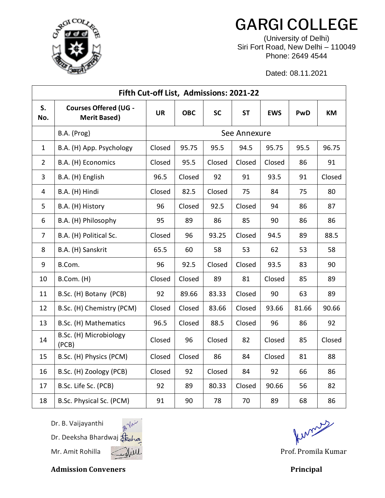

## GARGI COLLEGE

(University of Delhi) Siri Fort Road, New Delhi – 110049 Phone: 2649 4544

Dated: 08.11.2021

| Fifth Cut-off List, Admissions: 2021-22 |                                                     |              |            |           |           |            |       |        |  |  |  |  |
|-----------------------------------------|-----------------------------------------------------|--------------|------------|-----------|-----------|------------|-------|--------|--|--|--|--|
| S.<br>No.                               | <b>Courses Offered (UG -</b><br><b>Merit Based)</b> | <b>UR</b>    | <b>OBC</b> | <b>SC</b> | <b>ST</b> | <b>EWS</b> | PwD   | KM     |  |  |  |  |
|                                         | B.A. (Prog)                                         | See Annexure |            |           |           |            |       |        |  |  |  |  |
| $\mathbf{1}$                            | B.A. (H) App. Psychology                            | Closed       | 95.75      | 95.5      | 94.5      | 95.75      | 95.5  | 96.75  |  |  |  |  |
| $\overline{2}$                          | B.A. (H) Economics                                  | Closed       | 95.5       | Closed    | Closed    | Closed     | 86    | 91     |  |  |  |  |
| $\overline{3}$                          | B.A. (H) English                                    | 96.5         | Closed     | 92        | 91        | 93.5       | 91    | Closed |  |  |  |  |
| $\overline{4}$                          | B.A. (H) Hindi                                      | Closed       | 82.5       | Closed    | 75        | 84         | 75    | 80     |  |  |  |  |
| 5                                       | B.A. (H) History                                    | 96           | Closed     | 92.5      | Closed    | 94         | 86    | 87     |  |  |  |  |
| 6                                       | B.A. (H) Philosophy                                 | 95           | 89         | 86        | 85        | 90         | 86    | 86     |  |  |  |  |
| $\overline{7}$                          | B.A. (H) Political Sc.                              | Closed       | 96         | 93.25     | Closed    | 94.5       | 89    | 88.5   |  |  |  |  |
| 8                                       | B.A. (H) Sanskrit                                   | 65.5         | 60         | 58        | 53        | 62         | 53    | 58     |  |  |  |  |
| 9                                       | B.Com.                                              | 96           | 92.5       | Closed    | Closed    | 93.5       | 83    | 90     |  |  |  |  |
| 10                                      | B.Com. (H)                                          | Closed       | Closed     | 89        | 81        | Closed     | 85    | 89     |  |  |  |  |
| 11                                      | B.Sc. (H) Botany (PCB)                              | 92           | 89.66      | 83.33     | Closed    | 90         | 63    | 89     |  |  |  |  |
| 12                                      | B.Sc. (H) Chemistry (PCM)                           | Closed       | Closed     | 83.66     | Closed    | 93.66      | 81.66 | 90.66  |  |  |  |  |
| 13                                      | B.Sc. (H) Mathematics                               | 96.5         | Closed     | 88.5      | Closed    | 96         | 86    | 92     |  |  |  |  |
| 14                                      | B.Sc. (H) Microbiology<br>(PCB)                     | Closed       | 96         | Closed    | 82        | Closed     | 85    | Closed |  |  |  |  |
| 15                                      | B.Sc. (H) Physics (PCM)                             | Closed       | Closed     | 86        | 84        | Closed     | 81    | 88     |  |  |  |  |
| 16                                      | B.Sc. (H) Zoology (PCB)                             | Closed       | 92         | Closed    | 84        | 92         | 66    | 86     |  |  |  |  |
| 17                                      | B.Sc. Life Sc. (PCB)                                | 92           | 89         | 80.33     | Closed    | 90.66      | 56    | 82     |  |  |  |  |
| 18                                      | B.Sc. Physical Sc. (PCM)                            | 91           | 90         | 78        | 70        | 89         | 68    | 86     |  |  |  |  |

Dr. B. Vaijayanthi

Dr. Deeksha Bhardwaj Mr. Amit Rohilla ( Mill Mill Communication of the Prof. Promila Kumar



funcions

Admission Conveners **Principal**